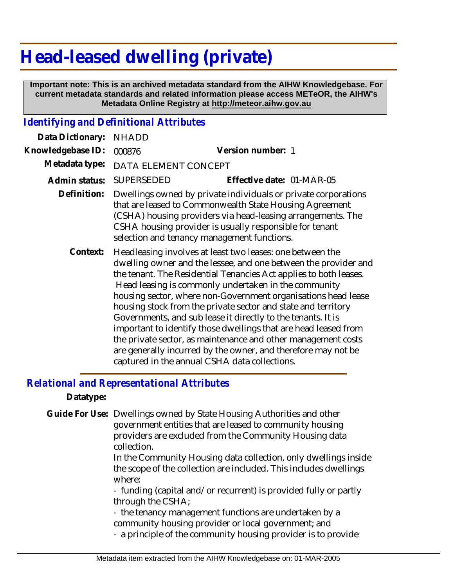## **Head-leased dwelling (private)**

 **Important note: This is an archived metadata standard from the AIHW Knowledgebase. For current metadata standards and related information please access METeOR, the AIHW's Metadata Online Registry at http://meteor.aihw.gov.au**

## *Identifying and Definitional Attributes*

| Data Dictionary:  | <b>NHADD</b>         |                                                                                                                                                                                                                                                                                                                                                                                                                                                                                                                                                                                                                                                                                                                   |
|-------------------|----------------------|-------------------------------------------------------------------------------------------------------------------------------------------------------------------------------------------------------------------------------------------------------------------------------------------------------------------------------------------------------------------------------------------------------------------------------------------------------------------------------------------------------------------------------------------------------------------------------------------------------------------------------------------------------------------------------------------------------------------|
| Knowledgebase ID: | 000876               | Version number: 1                                                                                                                                                                                                                                                                                                                                                                                                                                                                                                                                                                                                                                                                                                 |
| Metadata type:    | DATA ELEMENT CONCEPT |                                                                                                                                                                                                                                                                                                                                                                                                                                                                                                                                                                                                                                                                                                                   |
| Admin status:     | SUPERSEDED           | Effective date: 01-MAR-05                                                                                                                                                                                                                                                                                                                                                                                                                                                                                                                                                                                                                                                                                         |
| Definition:       |                      | Dwellings owned by private individuals or private corporations<br>that are leased to Commonwealth State Housing Agreement<br>(CSHA) housing providers via head-leasing arrangements. The<br>CSHA housing provider is usually responsible for tenant<br>selection and tenancy management functions.                                                                                                                                                                                                                                                                                                                                                                                                                |
| Context:          |                      | Headleasing involves at least two leases: one between the<br>dwelling owner and the lessee, and one between the provider and<br>the tenant. The Residential Tenancies Act applies to both leases.<br>Head leasing is commonly undertaken in the community<br>housing sector, where non-Government organisations head lease<br>housing stock from the private sector and state and territory<br>Governments, and sub lease it directly to the tenants. It is<br>important to identify those dwellings that are head leased from<br>the private sector, as maintenance and other management costs<br>are generally incurred by the owner, and therefore may not be<br>captured in the annual CSHA data collections. |

## *Relational and Representational Attributes*

**Datatype:**

Guide For Use: Dwellings owned by State Housing Authorities and other government entities that are leased to community housing providers are excluded from the Community Housing data collection.

> In the Community Housing data collection, only dwellings inside the scope of the collection are included. This includes dwellings where:

- funding (capital and/or recurrent) is provided fully or partly through the CSHA;

- the tenancy management functions are undertaken by a community housing provider or local government; and

- a principle of the community housing provider is to provide